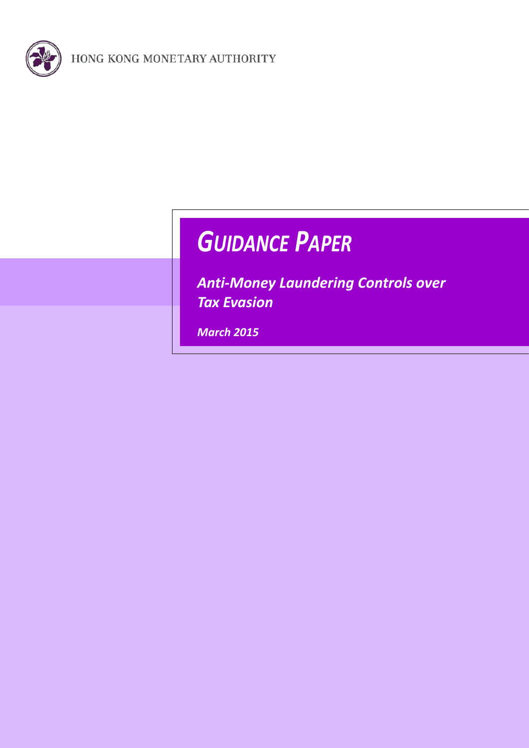

# *GUIDANCE PAPER*

*Anti-Money Laundering Controls over Tax Evasion*

<span id="page-0-0"></span>*March 2015*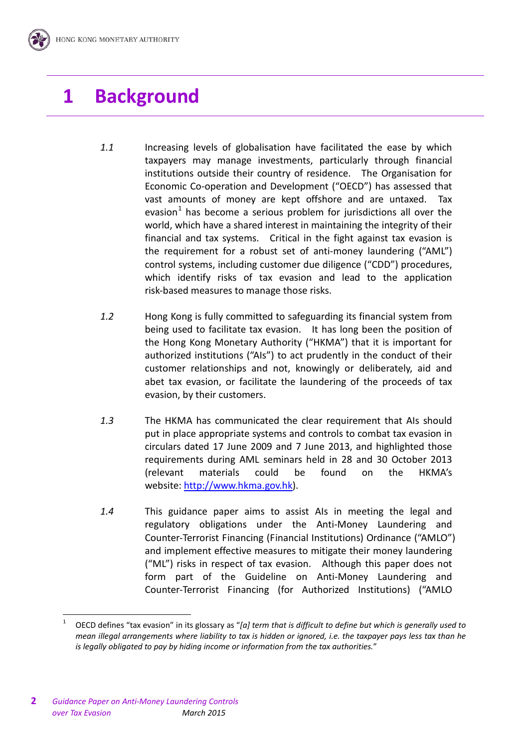# **1 Background**

- *1.1* Increasing levels of globalisation have facilitated the ease by which taxpayers may manage investments, particularly through financial institutions outside their country of residence. The Organisation for Economic Co-operation and Development ("OECD") has assessed that vast amounts of money are kept offshore and are untaxed. Tax evasion<sup>[1](#page-0-0)</sup> has become a serious problem for jurisdictions all over the world, which have a shared interest in maintaining the integrity of their financial and tax systems. Critical in the fight against tax evasion is the requirement for a robust set of anti-money laundering ("AML") control systems, including customer due diligence ("CDD") procedures, which identify risks of tax evasion and lead to the application risk-based measures to manage those risks.
- *1.2* Hong Kong is fully committed to safeguarding its financial system from being used to facilitate tax evasion. It has long been the position of the Hong Kong Monetary Authority ("HKMA") that it is important for authorized institutions ("AIs") to act prudently in the conduct of their customer relationships and not, knowingly or deliberately, aid and abet tax evasion, or facilitate the laundering of the proceeds of tax evasion, by their customers.
- *1.3* The HKMA has communicated the clear requirement that AIs should put in place appropriate systems and controls to combat tax evasion in circulars dated 17 June 2009 and 7 June 2013, and highlighted those requirements during AML seminars held in 28 and 30 October 2013 (relevant materials could be found on the HKMA's website: [http://www.hkma.gov.hk\)](http://www.hkma.gov.hk/).
- *1.4* This guidance paper aims to assist AIs in meeting the legal and regulatory obligations under the Anti-Money Laundering and Counter-Terrorist Financing (Financial Institutions) Ordinance ("AMLO") and implement effective measures to mitigate their money laundering ("ML") risks in respect of tax evasion. Although this paper does not form part of the Guideline on Anti-Money Laundering and Counter-Terrorist Financing (for Authorized Institutions) ("AMLO

<span id="page-1-0"></span><sup>1</sup> OECD defines "tax evasion" in its glossary as "*[a] term that is difficult to define but which is generally used to mean illegal arrangements where liability to tax is hidden or ignored, i.e. the taxpayer pays less tax than he is legally obligated to pay by hiding income or information from the tax authorities.*"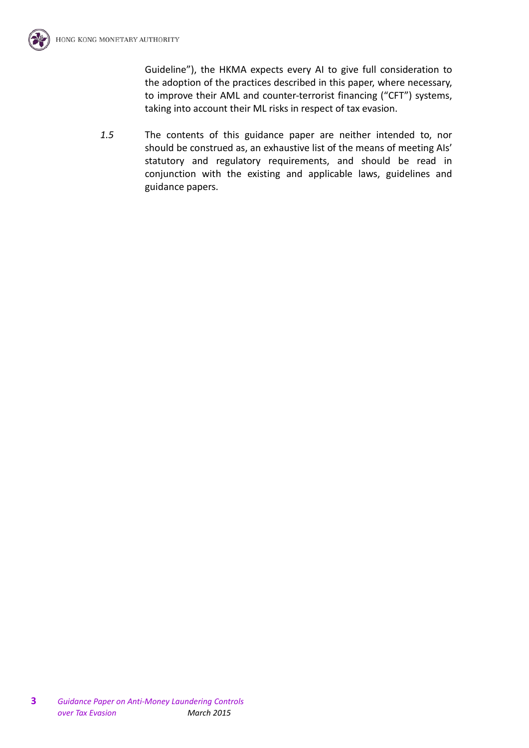Guideline"), the HKMA expects every AI to give full consideration to the adoption of the practices described in this paper, where necessary, to improve their AML and counter-terrorist financing ("CFT") systems, taking into account their ML risks in respect of tax evasion.

*1.5* The contents of this guidance paper are neither intended to, nor should be construed as, an exhaustive list of the means of meeting AIs' statutory and regulatory requirements, and should be read in conjunction with the existing and applicable laws, guidelines and guidance papers.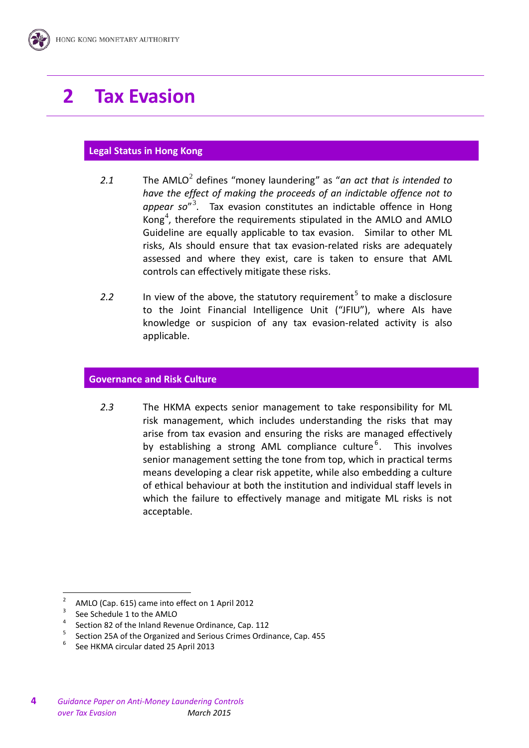# **2 Tax Evasion**

# **Legal Status in Hong Kong**

- [2](#page-1-0).1 The AMLO<sup>2</sup> defines "money laundering" as "*an act that is intended to have the effect of making the proceeds of an indictable offence not to appear so*"[3](#page-3-0) . Tax evasion constitutes an indictable offence in Hong Kong<sup>[4](#page-3-1)</sup>, therefore the requirements stipulated in the AMLO and AMLO Guideline are equally applicable to tax evasion. Similar to other ML risks, AIs should ensure that tax evasion-related risks are adequately assessed and where they exist, care is taken to ensure that AML controls can effectively mitigate these risks.
- 2.2 In view of the above, the statutory requirement<sup>[5](#page-3-2)</sup> to make a disclosure to the Joint Financial Intelligence Unit ("JFIU"), where AIs have knowledge or suspicion of any tax evasion-related activity is also applicable.

#### **Governance and Risk Culture**

*2.3* The HKMA expects senior management to take responsibility for ML risk management, which includes understanding the risks that may arise from tax evasion and ensuring the risks are managed effectively by establishing a strong AML compliance culture<sup>[6](#page-3-3)</sup>. This involves senior management setting the tone from top, which in practical terms means developing a clear risk appetite, while also embedding a culture of ethical behaviour at both the institution and individual staff levels in which the failure to effectively manage and mitigate ML risks is not acceptable.

<span id="page-3-1"></span>

<span id="page-3-0"></span><sup>&</sup>lt;sup>2</sup> AMLO (Cap. 615) came into effect on 1 April 2012<br>
<sup>3</sup> See Schedule 1 to the AMLO<br>
<sup>4</sup> Section 82 of the Inland Revenue Ordinance, Cap. 112<br>
<sup>5</sup> Section 25A of the Organized and Serious Crimes Ordinance, Cap. 455<br>
<sup>6</sup>

<span id="page-3-3"></span><span id="page-3-2"></span>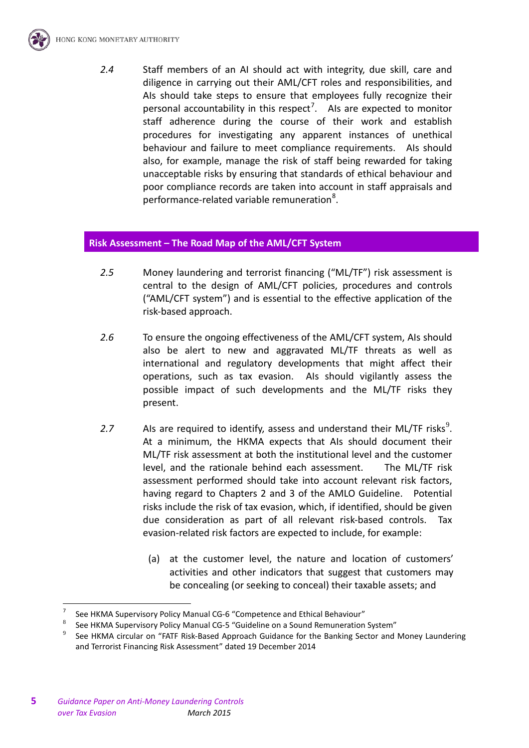

*2.4* Staff members of an AI should act with integrity, due skill, care and diligence in carrying out their AML/CFT roles and responsibilities, and AIs should take steps to ensure that employees fully recognize their personal accountability in this respect<sup>[7](#page-3-0)</sup>. Als are expected to monitor staff adherence during the course of their work and establish procedures for investigating any apparent instances of unethical behaviour and failure to meet compliance requirements. AIs should also, for example, manage the risk of staff being rewarded for taking unacceptable risks by ensuring that standards of ethical behaviour and poor compliance records are taken into account in staff appraisals and performance-related variable remuneration<sup>[8](#page-4-0)</sup>.

#### **Risk Assessment – The Road Map of the AML/CFT System**

- *2.5* Money laundering and terrorist financing ("ML/TF") risk assessment is central to the design of AML/CFT policies, procedures and controls ("AML/CFT system") and is essential to the effective application of the risk-based approach.
- *2.6* To ensure the ongoing effectiveness of the AML/CFT system, AIs should also be alert to new and aggravated ML/TF threats as well as international and regulatory developments that might affect their operations, such as tax evasion. AIs should vigilantly assess the possible impact of such developments and the ML/TF risks they present.
- 2.7 Als are required to identify, assess and understand their ML/TF risks<sup>[9](#page-4-1)</sup>. At a minimum, the HKMA expects that AIs should document their ML/TF risk assessment at both the institutional level and the customer level, and the rationale behind each assessment. The ML/TF risk assessment performed should take into account relevant risk factors, having regard to Chapters 2 and 3 of the AMLO Guideline. Potential risks include the risk of tax evasion, which, if identified, should be given due consideration as part of all relevant risk-based controls. Tax evasion-related risk factors are expected to include, for example:
	- (a) at the customer level, the nature and location of customers' activities and other indicators that suggest that customers may be concealing (or seeking to conceal) their taxable assets; and

<sup>7</sup> See HKMA Supervisory Policy Manual CG-6 "Competence and Ethical Behaviour"

<span id="page-4-0"></span>See HKMA Supervisory Policy Manual CG-5 "Guideline on a Sound Remuneration System"

<span id="page-4-2"></span><span id="page-4-1"></span>See HKMA circular on "FATF Risk-Based Approach Guidance for the Banking Sector and Money Laundering and Terrorist Financing Risk Assessment" dated 19 December 2014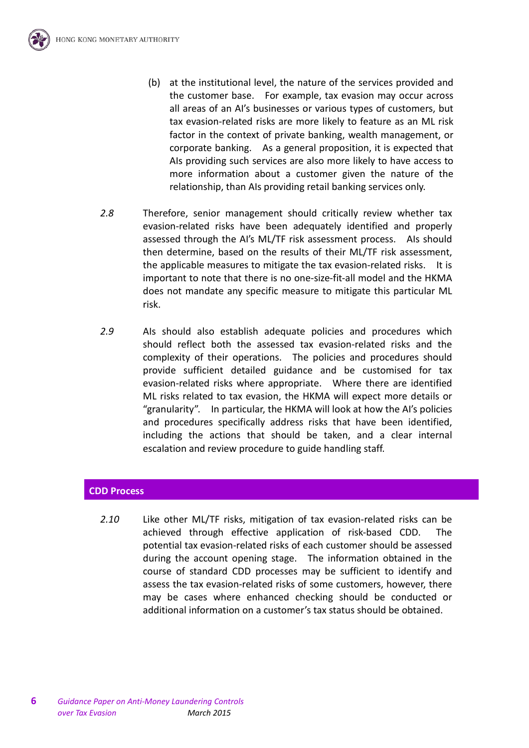

- (b) at the institutional level, the nature of the services provided and the customer base. For example, tax evasion may occur across all areas of an AI's businesses or various types of customers, but tax evasion-related risks are more likely to feature as an ML risk factor in the context of private banking, wealth management, or corporate banking. As a general proposition, it is expected that AIs providing such services are also more likely to have access to more information about a customer given the nature of the relationship, than AIs providing retail banking services only.
- *2.8* Therefore, senior management should critically review whether tax evasion-related risks have been adequately identified and properly assessed through the AI's ML/TF risk assessment process. AIs should then determine, based on the results of their ML/TF risk assessment, the applicable measures to mitigate the tax evasion-related risks. It is important to note that there is no one-size-fit-all model and the HKMA does not mandate any specific measure to mitigate this particular ML risk.
- *2.9* AIs should also establish adequate policies and procedures which should reflect both the assessed tax evasion-related risks and the complexity of their operations. The policies and procedures should provide sufficient detailed guidance and be customised for tax evasion-related risks where appropriate. Where there are identified ML risks related to tax evasion, the HKMA will expect more details or "granularity". In particular, the HKMA will look at how the AI's policies and procedures specifically address risks that have been identified, including the actions that should be taken, and a clear internal escalation and review procedure to guide handling staff.

# **CDD Process**

*2.10* Like other ML/TF risks, mitigation of tax evasion-related risks can be achieved through effective application of risk-based CDD. The potential tax evasion-related risks of each customer should be assessed during the account opening stage. The information obtained in the course of standard CDD processes may be sufficient to identify and assess the tax evasion-related risks of some customers, however, there may be cases where enhanced checking should be conducted or additional information on a customer's tax status should be obtained.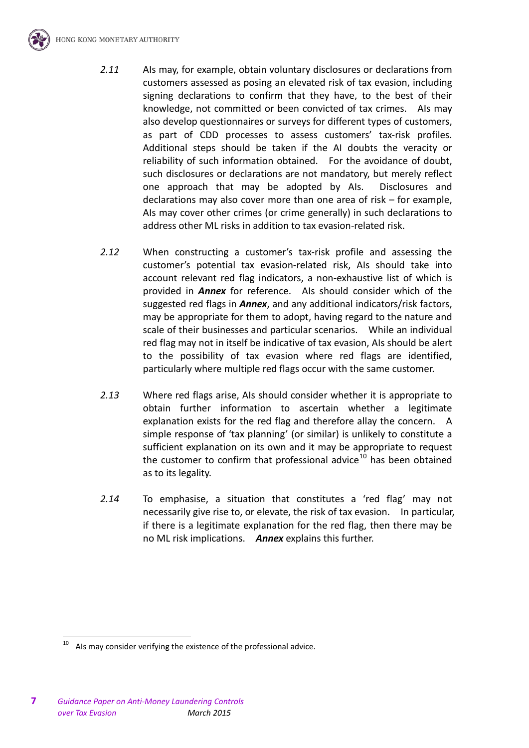

- *2.11* AIs may, for example, obtain voluntary disclosures or declarations from customers assessed as posing an elevated risk of tax evasion, including signing declarations to confirm that they have, to the best of their knowledge, not committed or been convicted of tax crimes. AIs may also develop questionnaires or surveys for different types of customers, as part of CDD processes to assess customers' tax-risk profiles. Additional steps should be taken if the AI doubts the veracity or reliability of such information obtained. For the avoidance of doubt, such disclosures or declarations are not mandatory, but merely reflect one approach that may be adopted by AIs. Disclosures and declarations may also cover more than one area of risk – for example, AIs may cover other crimes (or crime generally) in such declarations to address other ML risks in addition to tax evasion-related risk.
- *2.12* When constructing a customer's tax-risk profile and assessing the customer's potential tax evasion-related risk, AIs should take into account relevant red flag indicators, a non-exhaustive list of which is provided in *Annex* for reference. AIs should consider which of the suggested red flags in *Annex*, and any additional indicators/risk factors, may be appropriate for them to adopt, having regard to the nature and scale of their businesses and particular scenarios. While an individual red flag may not in itself be indicative of tax evasion, AIs should be alert to the possibility of tax evasion where red flags are identified, particularly where multiple red flags occur with the same customer.
- *2.13* Where red flags arise, AIs should consider whether it is appropriate to obtain further information to ascertain whether a legitimate explanation exists for the red flag and therefore allay the concern. A simple response of 'tax planning' (or similar) is unlikely to constitute a sufficient explanation on its own and it may be appropriate to request the customer to confirm that professional advice<sup>[10](#page-4-2)</sup> has been obtained as to its legality.
- *2.14* To emphasise, a situation that constitutes a 'red flag' may not necessarily give rise to, or elevate, the risk of tax evasion. In particular, if there is a legitimate explanation for the red flag, then there may be no ML risk implications. *Annex* explains this further.

<span id="page-6-0"></span>Als may consider verifying the existence of the professional advice.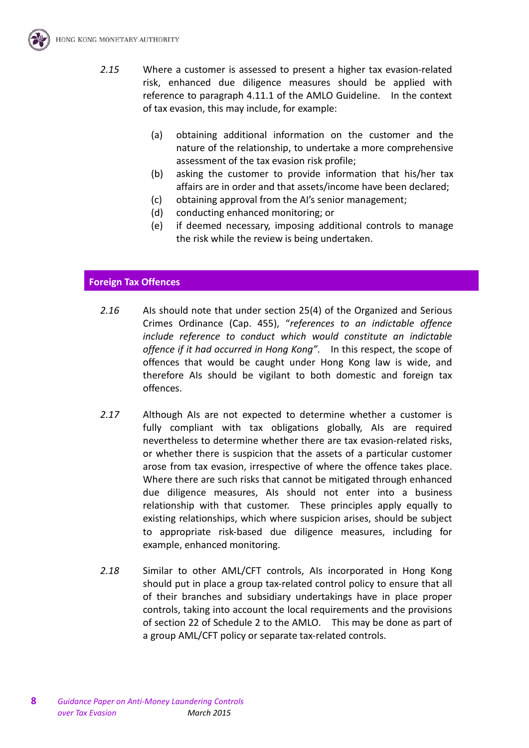

- *2.15* Where a customer is assessed to present a higher tax evasion-related risk, enhanced due diligence measures should be applied with reference to paragraph 4.11.1 of the AMLO Guideline. In the context of tax evasion, this may include, for example:
	- (a) obtaining additional information on the customer and the nature of the relationship, to undertake a more comprehensive assessment of the tax evasion risk profile;
	- (b) asking the customer to provide information that his/her tax affairs are in order and that assets/income have been declared;
	- (c) obtaining approval from the AI's senior management;
	- (d) conducting enhanced monitoring; or
	- (e) if deemed necessary, imposing additional controls to manage the risk while the review is being undertaken.

#### **Foreign Tax Offences**

- *2.16* AIs should note that under section 25(4) of the Organized and Serious Crimes Ordinance (Cap. 455), "*references to an indictable offence include reference to conduct which would constitute an indictable offence if it had occurred in Hong Kong"*. In this respect, the scope of offences that would be caught under Hong Kong law is wide, and therefore AIs should be vigilant to both domestic and foreign tax offences.
- *2.17* Although AIs are not expected to determine whether a customer is fully compliant with tax obligations globally, AIs are required nevertheless to determine whether there are tax evasion-related risks, or whether there is suspicion that the assets of a particular customer arose from tax evasion, irrespective of where the offence takes place. Where there are such risks that cannot be mitigated through enhanced due diligence measures, AIs should not enter into a business relationship with that customer. These principles apply equally to existing relationships, which where suspicion arises, should be subject to appropriate risk-based due diligence measures, including for example, enhanced monitoring.
- *2.18* Similar to other AML/CFT controls, AIs incorporated in Hong Kong should put in place a group tax-related control policy to ensure that all of their branches and subsidiary undertakings have in place proper controls, taking into account the local requirements and the provisions of section 22 of Schedule 2 to the AMLO. This may be done as part of a group AML/CFT policy or separate tax-related controls.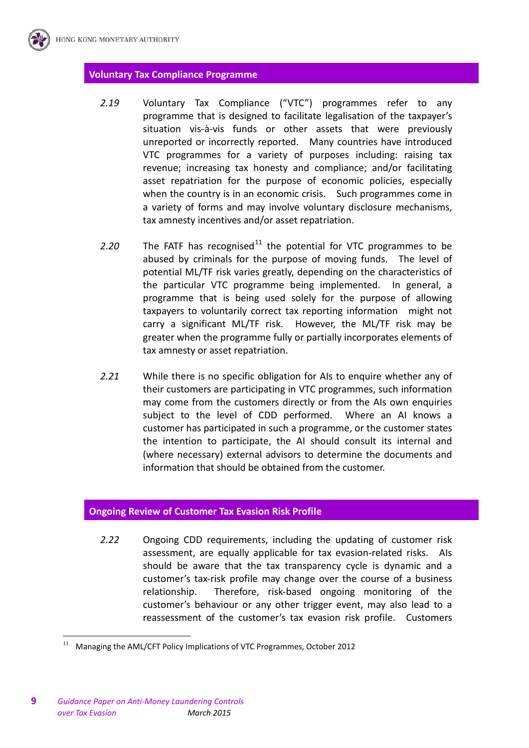### **Voluntary Tax Compliance Programme**

- *2.19* Voluntary Tax Compliance ("VTC") programmes refer to any programme that is designed to facilitate legalisation of the taxpayer's situation vis-à-vis funds or other assets that were previously unreported or incorrectly reported. Many countries have introduced VTC programmes for a variety of purposes including: raising tax revenue; increasing tax honesty and compliance; and/or facilitating asset repatriation for the purpose of economic policies, especially when the country is in an economic crisis. Such programmes come in a variety of forms and may involve voluntary disclosure mechanisms, tax amnesty incentives and/or asset repatriation.
- 2.20 The FATF has recognised<sup>[11](#page-6-0)</sup> the potential for VTC programmes to be abused by criminals for the purpose of moving funds. The level of potential ML/TF risk varies greatly, depending on the characteristics of the particular VTC programme being implemented. In general, a programme that is being used solely for the purpose of allowing taxpayers to voluntarily correct tax reporting information might not carry a significant ML/TF risk. However, the ML/TF risk may be greater when the programme fully or partially incorporates elements of tax amnesty or asset repatriation.
- *2.21* While there is no specific obligation for AIs to enquire whether any of their customers are participating in VTC programmes, such information may come from the customers directly or from the AIs own enquiries subject to the level of CDD performed. Where an AI knows a customer has participated in such a programme, or the customer states the intention to participate, the AI should consult its internal and (where necessary) external advisors to determine the documents and information that should be obtained from the customer.

#### **Ongoing Review of Customer Tax Evasion Risk Profile**

*2.22* Ongoing CDD requirements, including the updating of customer risk assessment, are equally applicable for tax evasion-related risks. AIs should be aware that the tax transparency cycle is dynamic and a customer's tax-risk profile may change over the course of a business relationship. Therefore, risk-based ongoing monitoring of the customer's behaviour or any other trigger event, may also lead to a reassessment of the customer's tax evasion risk profile. Customers

<span id="page-8-0"></span> <sup>11</sup> Managing the AML/CFT Policy Implications of VTC Programmes, October 2012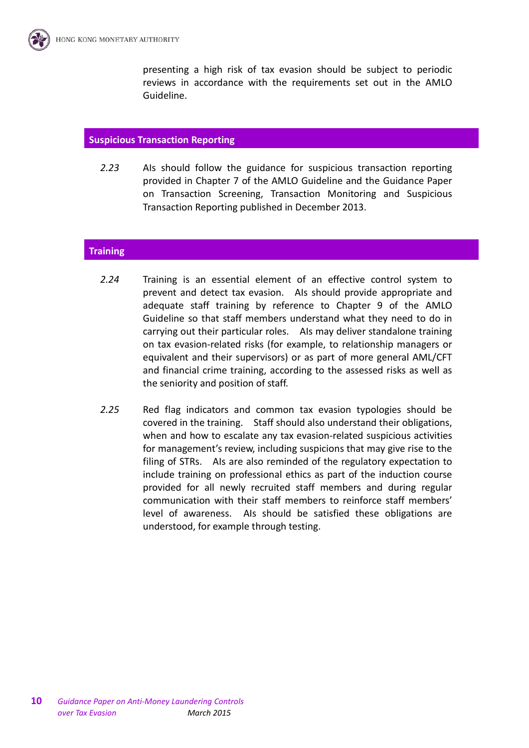presenting a high risk of tax evasion should be subject to periodic reviews in accordance with the requirements set out in the AMLO Guideline.

#### **Suspicious Transaction Reporting**

*2.23* AIs should follow the guidance for suspicious transaction reporting provided in Chapter 7 of the AMLO Guideline and the Guidance Paper on Transaction Screening, Transaction Monitoring and Suspicious Transaction Reporting published in December 2013.

#### **Training**

- *2.24* Training is an essential element of an effective control system to prevent and detect tax evasion. AIs should provide appropriate and adequate staff training by reference to Chapter 9 of the AMLO Guideline so that staff members understand what they need to do in carrying out their particular roles. AIs may deliver standalone training on tax evasion-related risks (for example, to relationship managers or equivalent and their supervisors) or as part of more general AML/CFT and financial crime training, according to the assessed risks as well as the seniority and position of staff.
- *2.25* Red flag indicators and common tax evasion typologies should be covered in the training. Staff should also understand their obligations, when and how to escalate any tax evasion-related suspicious activities for management's review, including suspicions that may give rise to the filing of STRs. AIs are also reminded of the regulatory expectation to include training on professional ethics as part of the induction course provided for all newly recruited staff members and during regular communication with their staff members to reinforce staff members' level of awareness. AIs should be satisfied these obligations are understood, for example through testing.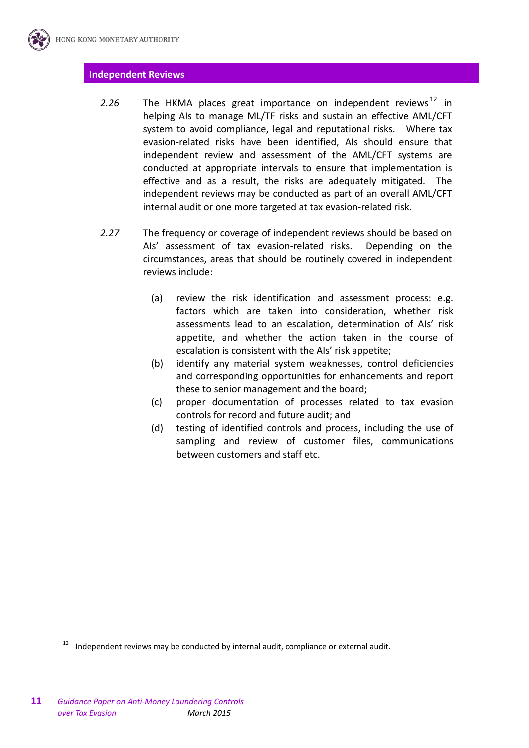#### **Independent Reviews**

- 2.26 The HKMA places great importance on independent reviews<sup>[12](#page-8-0)</sup> in helping AIs to manage ML/TF risks and sustain an effective AML/CFT system to avoid compliance, legal and reputational risks. Where tax evasion-related risks have been identified, AIs should ensure that independent review and assessment of the AML/CFT systems are conducted at appropriate intervals to ensure that implementation is effective and as a result, the risks are adequately mitigated. The independent reviews may be conducted as part of an overall AML/CFT internal audit or one more targeted at tax evasion-related risk.
- *2.27* The frequency or coverage of independent reviews should be based on AIs' assessment of tax evasion-related risks. Depending on the circumstances, areas that should be routinely covered in independent reviews include:
	- (a) review the risk identification and assessment process: e.g. factors which are taken into consideration, whether risk assessments lead to an escalation, determination of AIs' risk appetite, and whether the action taken in the course of escalation is consistent with the AIs' risk appetite;
	- (b) identify any material system weaknesses, control deficiencies and corresponding opportunities for enhancements and report these to senior management and the board;
	- (c) proper documentation of processes related to tax evasion controls for record and future audit; and
	- (d) testing of identified controls and process, including the use of sampling and review of customer files, communications between customers and staff etc.

<span id="page-10-0"></span>Independent reviews may be conducted by internal audit, compliance or external audit.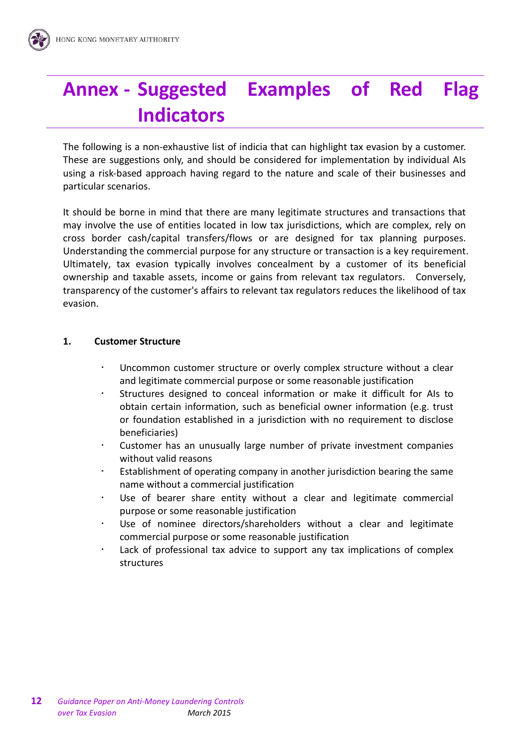# **Annex - Suggested Examples of Red Flag Indicators**

The following is a non-exhaustive list of indicia that can highlight tax evasion by a customer. These are suggestions only, and should be considered for implementation by individual AIs using a risk-based approach having regard to the nature and scale of their businesses and particular scenarios.

It should be borne in mind that there are many legitimate structures and transactions that may involve the use of entities located in low tax jurisdictions, which are complex, rely on cross border cash/capital transfers/flows or are designed for tax planning purposes. Understanding the commercial purpose for any structure or transaction is a key requirement. Ultimately, tax evasion typically involves concealment by a customer of its beneficial ownership and taxable assets, income or gains from relevant tax regulators. Conversely, transparency of the customer's affairs to relevant tax regulators reduces the likelihood of tax evasion.

### **1. Customer Structure**

- Uncommon customer structure or overly complex structure without a clear and legitimate commercial purpose or some reasonable justification
- Structures designed to conceal information or make it difficult for AIs to obtain certain information, such as beneficial owner information (e.g. trust or foundation established in a jurisdiction with no requirement to disclose beneficiaries)
- Customer has an unusually large number of private investment companies without valid reasons
- Establishment of operating company in another jurisdiction bearing the same name without a commercial justification
- Use of bearer share entity without a clear and legitimate commercial purpose or some reasonable justification
- Use of nominee directors/shareholders without a clear and legitimate commercial purpose or some reasonable justification
- Lack of professional tax advice to support any tax implications of complex structures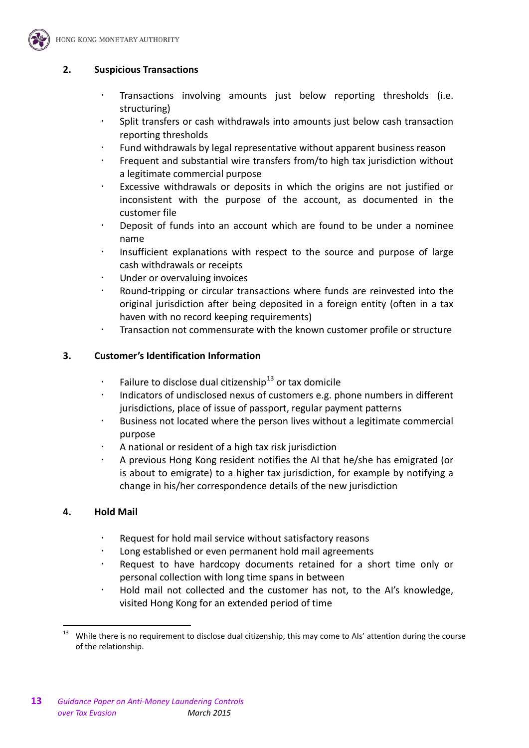

# **2. Suspicious Transactions**

- Transactions involving amounts just below reporting thresholds (i.e. structuring)
- Split transfers or cash withdrawals into amounts just below cash transaction reporting thresholds
- Fund withdrawals by legal representative without apparent business reason
- Frequent and substantial wire transfers from/to high tax jurisdiction without a legitimate commercial purpose
- Excessive withdrawals or deposits in which the origins are not justified or inconsistent with the purpose of the account, as documented in the customer file
- Deposit of funds into an account which are found to be under a nominee name
- Insufficient explanations with respect to the source and purpose of large cash withdrawals or receipts
- Under or overvaluing invoices
- Round-tripping or circular transactions where funds are reinvested into the original jurisdiction after being deposited in a foreign entity (often in a tax haven with no record keeping requirements)
- Transaction not commensurate with the known customer profile or structure

# **3. Customer's Identification Information**

- Failure to disclose dual citizenship<sup>[13](#page-10-0)</sup> or tax domicile
- Indicators of undisclosed nexus of customers e.g. phone numbers in different jurisdictions, place of issue of passport, regular payment patterns
- Business not located where the person lives without a legitimate commercial purpose
- A national or resident of a high tax risk jurisdiction
- A previous Hong Kong resident notifies the AI that he/she has emigrated (or is about to emigrate) to a higher tax jurisdiction, for example by notifying a change in his/her correspondence details of the new jurisdiction

# **4. Hold Mail**

- Request for hold mail service without satisfactory reasons
- Long established or even permanent hold mail agreements
- Request to have hardcopy documents retained for a short time only or personal collection with long time spans in between
- Hold mail not collected and the customer has not, to the AI's knowledge, visited Hong Kong for an extended period of time

While there is no requirement to disclose dual citizenship, this may come to AIs' attention during the course of the relationship.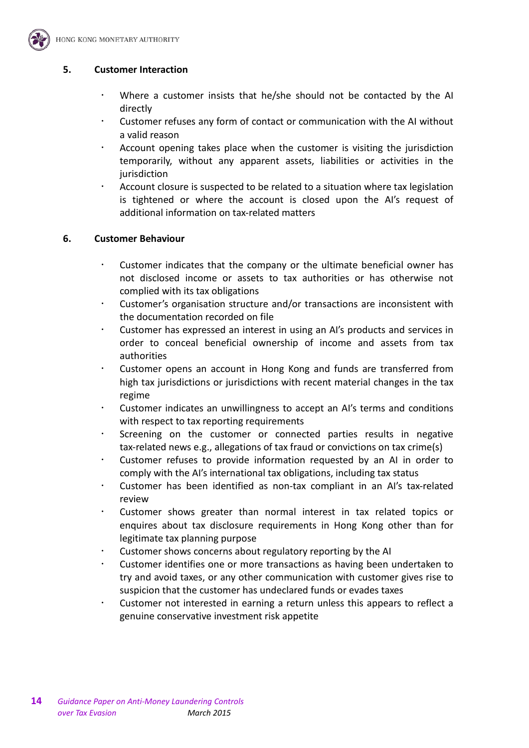

#### **5. Customer Interaction**

- Where a customer insists that he/she should not be contacted by the AI directly
- Customer refuses any form of contact or communication with the AI without a valid reason
- Account opening takes place when the customer is visiting the jurisdiction temporarily, without any apparent assets, liabilities or activities in the jurisdiction
- Account closure is suspected to be related to a situation where tax legislation is tightened or where the account is closed upon the AI's request of additional information on tax-related matters

#### **6. Customer Behaviour**

- Customer indicates that the company or the ultimate beneficial owner has not disclosed income or assets to tax authorities or has otherwise not complied with its tax obligations
- Customer's organisation structure and/or transactions are inconsistent with the documentation recorded on file
- Customer has expressed an interest in using an AI's products and services in order to conceal beneficial ownership of income and assets from tax authorities
- Customer opens an account in Hong Kong and funds are transferred from high tax jurisdictions or jurisdictions with recent material changes in the tax regime
- Customer indicates an unwillingness to accept an AI's terms and conditions with respect to tax reporting requirements
- Screening on the customer or connected parties results in negative tax-related news e.g., allegations of tax fraud or convictions on tax crime(s)
- Customer refuses to provide information requested by an AI in order to comply with the AI's international tax obligations, including tax status
- Customer has been identified as non-tax compliant in an AI's tax-related review
- Customer shows greater than normal interest in tax related topics or enquires about tax disclosure requirements in Hong Kong other than for legitimate tax planning purpose
- Customer shows concerns about regulatory reporting by the AI
- Customer identifies one or more transactions as having been undertaken to try and avoid taxes, or any other communication with customer gives rise to suspicion that the customer has undeclared funds or evades taxes
- Customer not interested in earning a return unless this appears to reflect a genuine conservative investment risk appetite